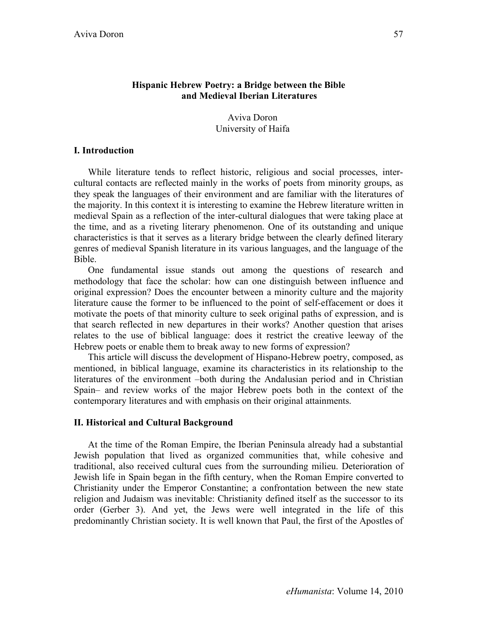### **Hispanic Hebrew Poetry: a Bridge between the Bible and Medieval Iberian Literatures**

Aviva Doron University of Haifa

### **I. Introduction**

While literature tends to reflect historic, religious and social processes, intercultural contacts are reflected mainly in the works of poets from minority groups, as they speak the languages of their environment and are familiar with the literatures of the majority. In this context it is interesting to examine the Hebrew literature written in medieval Spain as a reflection of the inter-cultural dialogues that were taking place at the time, and as a riveting literary phenomenon. One of its outstanding and unique characteristics is that it serves as a literary bridge between the clearly defined literary genres of medieval Spanish literature in its various languages, and the language of the Bible.

One fundamental issue stands out among the questions of research and methodology that face the scholar: how can one distinguish between influence and original expression? Does the encounter between a minority culture and the majority literature cause the former to be influenced to the point of self-effacement or does it motivate the poets of that minority culture to seek original paths of expression, and is that search reflected in new departures in their works? Another question that arises relates to the use of biblical language: does it restrict the creative leeway of the Hebrew poets or enable them to break away to new forms of expression?

This article will discuss the development of Hispano-Hebrew poetry, composed, as mentioned, in biblical language, examine its characteristics in its relationship to the literatures of the environment –both during the Andalusian period and in Christian Spain– and review works of the major Hebrew poets both in the context of the contemporary literatures and with emphasis on their original attainments.

### **II. Historical and Cultural Background**

At the time of the Roman Empire, the Iberian Peninsula already had a substantial Jewish population that lived as organized communities that, while cohesive and traditional, also received cultural cues from the surrounding milieu. Deterioration of Jewish life in Spain began in the fifth century, when the Roman Empire converted to Christianity under the Emperor Constantine; a confrontation between the new state religion and Judaism was inevitable: Christianity defined itself as the successor to its order (Gerber 3). And yet, the Jews were well integrated in the life of this predominantly Christian society. It is well known that Paul, the first of the Apostles of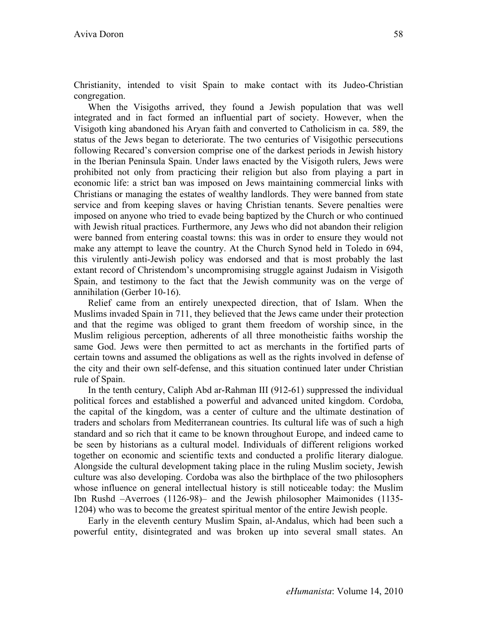Christianity, intended to visit Spain to make contact with its Judeo-Christian congregation.

When the Visigoths arrived, they found a Jewish population that was well integrated and in fact formed an influential part of society. However, when the Visigoth king abandoned his Aryan faith and converted to Catholicism in ca. 589, the status of the Jews began to deteriorate. The two centuries of Visigothic persecutions following Recared's conversion comprise one of the darkest periods in Jewish history in the Iberian Peninsula Spain. Under laws enacted by the Visigoth rulers, Jews were prohibited not only from practicing their religion but also from playing a part in economic life: a strict ban was imposed on Jews maintaining commercial links with Christians or managing the estates of wealthy landlords. They were banned from state service and from keeping slaves or having Christian tenants. Severe penalties were imposed on anyone who tried to evade being baptized by the Church or who continued with Jewish ritual practices. Furthermore, any Jews who did not abandon their religion were banned from entering coastal towns: this was in order to ensure they would not make any attempt to leave the country. At the Church Synod held in Toledo in 694, this virulently anti-Jewish policy was endorsed and that is most probably the last extant record of Christendom's uncompromising struggle against Judaism in Visigoth Spain, and testimony to the fact that the Jewish community was on the verge of annihilation (Gerber 10-16).

Relief came from an entirely unexpected direction, that of Islam. When the Muslims invaded Spain in 711, they believed that the Jews came under their protection and that the regime was obliged to grant them freedom of worship since, in the Muslim religious perception, adherents of all three monotheistic faiths worship the same God. Jews were then permitted to act as merchants in the fortified parts of certain towns and assumed the obligations as well as the rights involved in defense of the city and their own self-defense, and this situation continued later under Christian rule of Spain.

In the tenth century, Caliph Abd ar-Rahman III (912-61) suppressed the individual political forces and established a powerful and advanced united kingdom. Cordoba, the capital of the kingdom, was a center of culture and the ultimate destination of traders and scholars from Mediterranean countries. Its cultural life was of such a high standard and so rich that it came to be known throughout Europe, and indeed came to be seen by historians as a cultural model. Individuals of different religions worked together on economic and scientific texts and conducted a prolific literary dialogue. Alongside the cultural development taking place in the ruling Muslim society, Jewish culture was also developing. Cordoba was also the birthplace of the two philosophers whose influence on general intellectual history is still noticeable today: the Muslim Ibn Rushd –Averroes (1126-98)– and the Jewish philosopher Maimonides (1135- 1204) who was to become the greatest spiritual mentor of the entire Jewish people.

Early in the eleventh century Muslim Spain, al-Andalus, which had been such a powerful entity, disintegrated and was broken up into several small states. An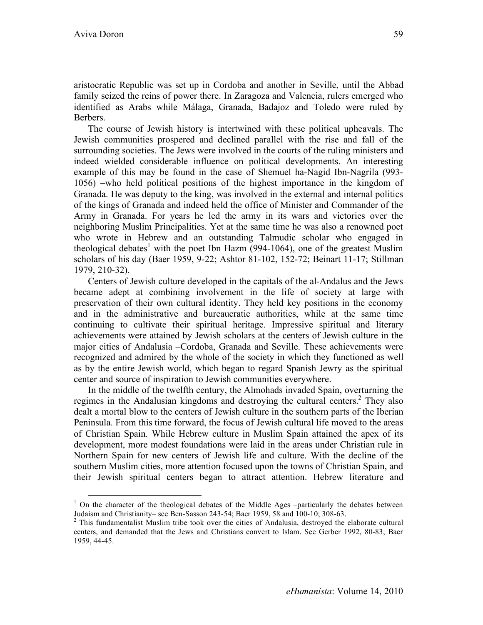aristocratic Republic was set up in Cordoba and another in Seville, until the Abbad family seized the reins of power there. In Zaragoza and Valencia, rulers emerged who identified as Arabs while Málaga, Granada, Badajoz and Toledo were ruled by Berbers.

The course of Jewish history is intertwined with these political upheavals. The Jewish communities prospered and declined parallel with the rise and fall of the surrounding societies. The Jews were involved in the courts of the ruling ministers and indeed wielded considerable influence on political developments. An interesting example of this may be found in the case of Shemuel ha-Nagid Ibn-Nagrila (993- 1056) –who held political positions of the highest importance in the kingdom of Granada. He was deputy to the king, was involved in the external and internal politics of the kings of Granada and indeed held the office of Minister and Commander of the Army in Granada. For years he led the army in its wars and victories over the neighboring Muslim Principalities. Yet at the same time he was also a renowned poet who wrote in Hebrew and an outstanding Talmudic scholar who engaged in theological debates<sup>1</sup> with the poet Ibn Hazm  $(994-1064)$ , one of the greatest Muslim scholars of his day (Baer 1959, 9-22; Ashtor 81-102, 152-72; Beinart 11-17; Stillman 1979, 210-32).

Centers of Jewish culture developed in the capitals of the al-Andalus and the Jews became adept at combining involvement in the life of society at large with preservation of their own cultural identity. They held key positions in the economy and in the administrative and bureaucratic authorities, while at the same time continuing to cultivate their spiritual heritage. Impressive spiritual and literary achievements were attained by Jewish scholars at the centers of Jewish culture in the major cities of Andalusia –Cordoba, Granada and Seville. These achievements were recognized and admired by the whole of the society in which they functioned as well as by the entire Jewish world, which began to regard Spanish Jewry as the spiritual center and source of inspiration to Jewish communities everywhere.

In the middle of the twelfth century, the Almohads invaded Spain, overturning the regimes in the Andalusian kingdoms and destroying the cultural centers.<sup>2</sup> They also dealt a mortal blow to the centers of Jewish culture in the southern parts of the Iberian Peninsula. From this time forward, the focus of Jewish cultural life moved to the areas of Christian Spain. While Hebrew culture in Muslim Spain attained the apex of its development, more modest foundations were laid in the areas under Christian rule in Northern Spain for new centers of Jewish life and culture. With the decline of the southern Muslim cities, more attention focused upon the towns of Christian Spain, and their Jewish spiritual centers began to attract attention. Hebrew literature and

 $1$  On the character of the theological debates of the Middle Ages –particularly the debates between Judaism and Christianity– see Ben-Sasson 243-54; Baer 1959, 58 and 100-10; 308-63. <sup>2</sup>

 $2$  This fundamentalist Muslim tribe took over the cities of Andalusia, destroyed the elaborate cultural centers, and demanded that the Jews and Christians convert to Islam. See Gerber 1992, 80-83; Baer 1959, 44-45.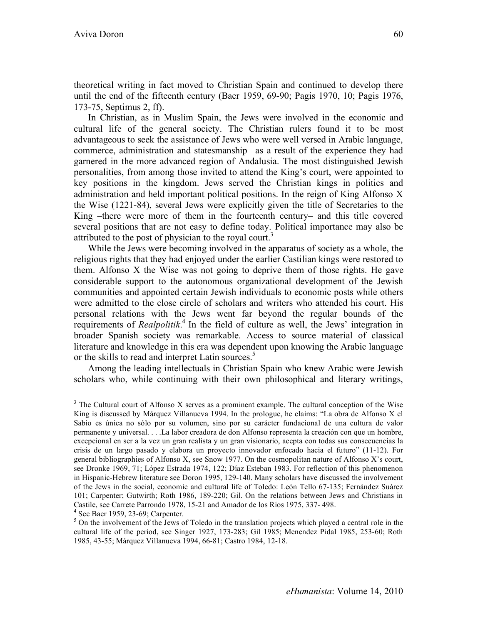theoretical writing in fact moved to Christian Spain and continued to develop there until the end of the fifteenth century (Baer 1959, 69-90; Pagis 1970, 10; Pagis 1976, 173-75, Septimus 2, ff).

In Christian, as in Muslim Spain, the Jews were involved in the economic and cultural life of the general society. The Christian rulers found it to be most advantageous to seek the assistance of Jews who were well versed in Arabic language, commerce, administration and statesmanship –as a result of the experience they had garnered in the more advanced region of Andalusia. The most distinguished Jewish personalities, from among those invited to attend the King's court, were appointed to key positions in the kingdom. Jews served the Christian kings in politics and administration and held important political positions. In the reign of King Alfonso X the Wise (1221-84), several Jews were explicitly given the title of Secretaries to the King –there were more of them in the fourteenth century– and this title covered several positions that are not easy to define today. Political importance may also be attributed to the post of physician to the royal court.<sup>3</sup>

While the Jews were becoming involved in the apparatus of society as a whole, the religious rights that they had enjoyed under the earlier Castilian kings were restored to them. Alfonso X the Wise was not going to deprive them of those rights. He gave considerable support to the autonomous organizational development of the Jewish communities and appointed certain Jewish individuals to economic posts while others were admitted to the close circle of scholars and writers who attended his court. His personal relations with the Jews went far beyond the regular bounds of the requirements of *Realpolitik*. <sup>4</sup> In the field of culture as well, the Jews' integration in broader Spanish society was remarkable. Access to source material of classical literature and knowledge in this era was dependent upon knowing the Arabic language or the skills to read and interpret Latin sources.<sup>5</sup>

Among the leading intellectuals in Christian Spain who knew Arabic were Jewish scholars who, while continuing with their own philosophical and literary writings,

<sup>&</sup>lt;sup>3</sup> The Cultural court of Alfonso X serves as a prominent example. The cultural conception of the Wise King is discussed by Márquez Villanueva 1994. In the prologue, he claims: "La obra de Alfonso X el Sabio es única no sólo por su volumen, sino por su carácter fundacional de una cultura de valor permanente y universal. . . .La labor creadora de don Alfonso representa la creación con que un hombre, excepcional en ser a la vez un gran realista y un gran visionario, acepta con todas sus consecuencias la crisis de un largo pasado y elabora un proyecto innovador enfocado hacia el futuro" (11-12). For general bibliographies of Alfonso X, see Snow 1977. On the cosmopolitan nature of Alfonso X's court, see Dronke 1969, 71; López Estrada 1974, 122; Díaz Esteban 1983. For reflection of this phenomenon in Hispanic-Hebrew literature see Doron 1995, 129-140. Many scholars have discussed the involvement of the Jews in the social, economic and cultural life of Toledo: León Tello 67-135; Fernández Suárez 101; Carpenter; Gutwirth; Roth 1986, 189-220; Gil. On the relations between Jews and Christians in Castile, see Carrete Parrondo 1978, 15-21 and Amador de los Ríos 1975, 337- 498.<br><sup>4</sup> See Baer 1959, 23-69; Carpenter.

<sup>&</sup>lt;sup>5</sup> On the involvement of the Jews of Toledo in the translation projects which played a central role in the cultural life of the period, see Singer 1927, 173-283; Gil 1985; Menendez Pidal 1985, 253-60; Roth 1985, 43-55; Márquez Villanueva 1994, 66-81; Castro 1984, 12-18.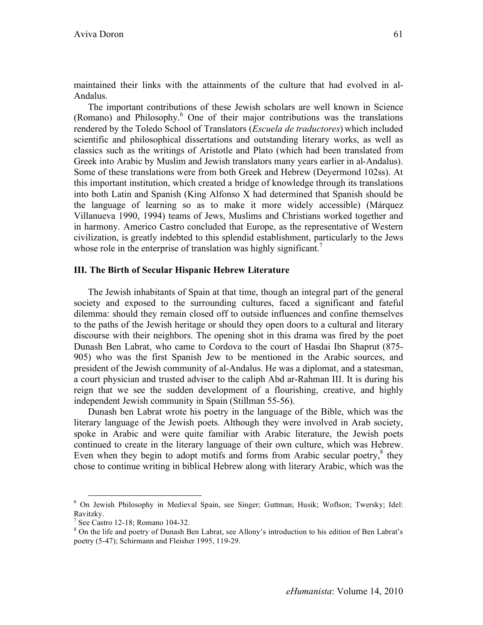maintained their links with the attainments of the culture that had evolved in al-Andalus.

The important contributions of these Jewish scholars are well known in Science (Romano) and Philosophy.<sup>6</sup> One of their major contributions was the translations rendered by the Toledo School of Translators (*Escuela de traductores*) which included scientific and philosophical dissertations and outstanding literary works, as well as classics such as the writings of Aristotle and Plato (which had been translated from Greek into Arabic by Muslim and Jewish translators many years earlier in al-Andalus). Some of these translations were from both Greek and Hebrew (Deyermond 102ss). At this important institution, which created a bridge of knowledge through its translations into both Latin and Spanish (King Alfonso X had determined that Spanish should be the language of learning so as to make it more widely accessible) (Márquez Villanueva 1990, 1994) teams of Jews, Muslims and Christians worked together and in harmony. Americo Castro concluded that Europe, as the representative of Western civilization, is greatly indebted to this splendid establishment, particularly to the Jews whose role in the enterprise of translation was highly significant.<sup>7</sup>

### **III. The Birth of Secular Hispanic Hebrew Literature**

The Jewish inhabitants of Spain at that time, though an integral part of the general society and exposed to the surrounding cultures, faced a significant and fateful dilemma: should they remain closed off to outside influences and confine themselves to the paths of the Jewish heritage or should they open doors to a cultural and literary discourse with their neighbors. The opening shot in this drama was fired by the poet Dunash Ben Labrat, who came to Cordova to the court of Hasdai Ibn Shaprut (875- 905) who was the first Spanish Jew to be mentioned in the Arabic sources, and president of the Jewish community of al-Andalus. He was a diplomat, and a statesman, a court physician and trusted adviser to the caliph Abd ar-Rahman III. It is during his reign that we see the sudden development of a flourishing, creative, and highly independent Jewish community in Spain (Stillman 55-56).

Dunash ben Labrat wrote his poetry in the language of the Bible, which was the literary language of the Jewish poets. Although they were involved in Arab society, spoke in Arabic and were quite familiar with Arabic literature, the Jewish poets continued to create in the literary language of their own culture, which was Hebrew. Even when they begin to adopt motifs and forms from Arabic secular poetry, $8$  they chose to continue writing in biblical Hebrew along with literary Arabic, which was the

 <sup>6</sup> On Jewish Philosophy in Medieval Spain, see Singer; Guttman; Husik; Woflson; Twersky; Idel: Ravitzky.

 $<sup>7</sup>$  See Castro 12-18; Romano 104-32.</sup>

<sup>&</sup>lt;sup>8</sup> On the life and poetry of Dunash Ben Labrat, see Allony's introduction to his edition of Ben Labrat's poetry (5-47); Schirmann and Fleisher 1995, 119-29.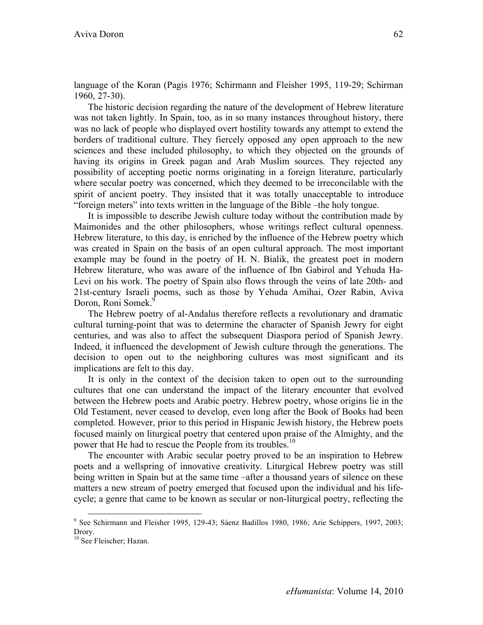language of the Koran (Pagis 1976; Schirmann and Fleisher 1995, 119-29; Schirman 1960, 27-30).

The historic decision regarding the nature of the development of Hebrew literature was not taken lightly. In Spain, too, as in so many instances throughout history, there was no lack of people who displayed overt hostility towards any attempt to extend the borders of traditional culture. They fiercely opposed any open approach to the new sciences and these included philosophy, to which they objected on the grounds of having its origins in Greek pagan and Arab Muslim sources. They rejected any possibility of accepting poetic norms originating in a foreign literature, particularly where secular poetry was concerned, which they deemed to be irreconcilable with the spirit of ancient poetry. They insisted that it was totally unacceptable to introduce "foreign meters" into texts written in the language of the Bible –the holy tongue.

It is impossible to describe Jewish culture today without the contribution made by Maimonides and the other philosophers, whose writings reflect cultural openness. Hebrew literature, to this day, is enriched by the influence of the Hebrew poetry which was created in Spain on the basis of an open cultural approach. The most important example may be found in the poetry of H. N. Bialik, the greatest poet in modern Hebrew literature, who was aware of the influence of Ibn Gabirol and Yehuda Ha-Levi on his work. The poetry of Spain also flows through the veins of late 20th- and 21st-century Israeli poems, such as those by Yehuda Amihai, Ozer Rabin, Aviva Doron, Roni Somek.<sup>9</sup>

The Hebrew poetry of al-Andalus therefore reflects a revolutionary and dramatic cultural turning-point that was to determine the character of Spanish Jewry for eight centuries, and was also to affect the subsequent Diaspora period of Spanish Jewry. Indeed, it influenced the development of Jewish culture through the generations. The decision to open out to the neighboring cultures was most significant and its implications are felt to this day.

It is only in the context of the decision taken to open out to the surrounding cultures that one can understand the impact of the literary encounter that evolved between the Hebrew poets and Arabic poetry. Hebrew poetry, whose origins lie in the Old Testament, never ceased to develop, even long after the Book of Books had been completed. However, prior to this period in Hispanic Jewish history, the Hebrew poets focused mainly on liturgical poetry that centered upon praise of the Almighty, and the power that He had to rescue the People from its troubles.<sup>10</sup>

The encounter with Arabic secular poetry proved to be an inspiration to Hebrew poets and a wellspring of innovative creativity. Liturgical Hebrew poetry was still being written in Spain but at the same time –after a thousand years of silence on these matters a new stream of poetry emerged that focused upon the individual and his lifecycle; a genre that came to be known as secular or non-liturgical poetry, reflecting the

 <sup>9</sup> See Schirmann and Fleisher 1995, 129-43; Sáenz Badillos 1980, 1986; Arie Schippers, 1997, 2003; Drory.<br><sup>10</sup> See Fleischer; Hazan.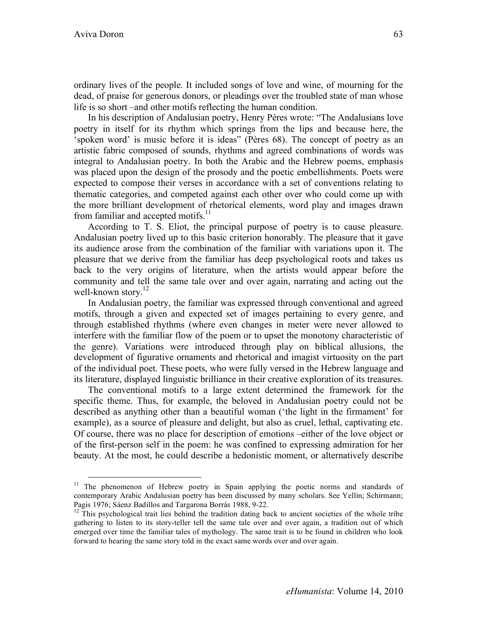ordinary lives of the people. It included songs of love and wine, of mourning for the dead, of praise for generous donors, or pleadings over the troubled state of man whose life is so short –and other motifs reflecting the human condition.

In his description of Andalusian poetry, Henry Pères wrote: "The Andalusians love poetry in itself for its rhythm which springs from the lips and because here, the 'spoken word' is music before it is ideas" (Pères 68). The concept of poetry as an artistic fabric composed of sounds, rhythms and agreed combinations of words was integral to Andalusian poetry. In both the Arabic and the Hebrew poems, emphasis was placed upon the design of the prosody and the poetic embellishments. Poets were expected to compose their verses in accordance with a set of conventions relating to thematic categories, and competed against each other over who could come up with the more brilliant development of rhetorical elements, word play and images drawn from familiar and accepted motifs.<sup>11</sup>

According to T. S. Eliot, the principal purpose of poetry is to cause pleasure. Andalusian poetry lived up to this basic criterion honorably. The pleasure that it gave its audience arose from the combination of the familiar with variations upon it. The pleasure that we derive from the familiar has deep psychological roots and takes us back to the very origins of literature, when the artists would appear before the community and tell the same tale over and over again, narrating and acting out the well-known story.<sup>12</sup>

In Andalusian poetry, the familiar was expressed through conventional and agreed motifs, through a given and expected set of images pertaining to every genre, and through established rhythms (where even changes in meter were never allowed to interfere with the familiar flow of the poem or to upset the monotony characteristic of the genre). Variations were introduced through play on biblical allusions, the development of figurative ornaments and rhetorical and imagist virtuosity on the part of the individual poet. These poets, who were fully versed in the Hebrew language and its literature, displayed linguistic brilliance in their creative exploration of its treasures.

The conventional motifs to a large extent determined the framework for the specific theme. Thus, for example, the beloved in Andalusian poetry could not be described as anything other than a beautiful woman ('the light in the firmament' for example), as a source of pleasure and delight, but also as cruel, lethal, captivating etc. Of course, there was no place for description of emotions –either of the love object or of the first-person self in the poem: he was confined to expressing admiration for her beauty. At the most, he could describe a hedonistic moment, or alternatively describe

 $11$  The phenomenon of Hebrew poetry in Spain applying the poetic norms and standards of contemporary Arabic Andalusian poetry has been discussed by many scholars. See Yellin; Schirmann;

Pagis 1976; Sáenz Badillos and Targarona Borrás 1988, 9-22.<br><sup>12</sup> This psychological trait lies behind the tradition dating back to ancient societies of the whole tribe gathering to listen to its story-teller tell the same tale over and over again, a tradition out of which emerged over time the familiar tales of mythology. The same trait is to be found in children who look forward to hearing the same story told in the exact same words over and over again.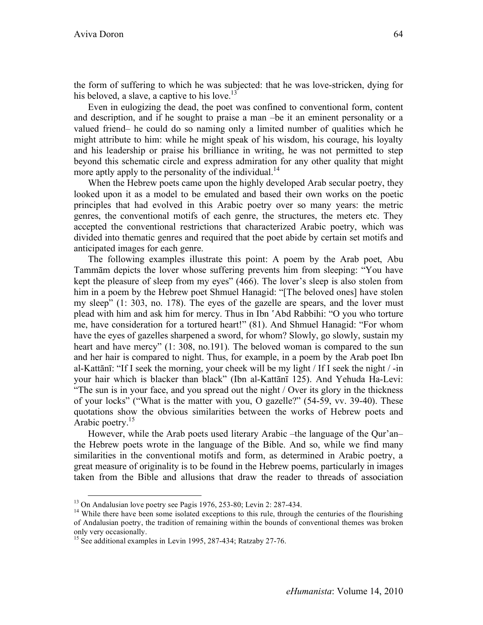the form of suffering to which he was subjected: that he was love-stricken, dying for his beloved, a slave, a captive to his love.<sup>13</sup>

Even in eulogizing the dead, the poet was confined to conventional form, content and description, and if he sought to praise a man –be it an eminent personality or a valued friend– he could do so naming only a limited number of qualities which he might attribute to him: while he might speak of his wisdom, his courage, his loyalty and his leadership or praise his brilliance in writing, he was not permitted to step beyond this schematic circle and express admiration for any other quality that might more aptly apply to the personality of the individual.<sup>14</sup>

When the Hebrew poets came upon the highly developed Arab secular poetry, they looked upon it as a model to be emulated and based their own works on the poetic principles that had evolved in this Arabic poetry over so many years: the metric genres, the conventional motifs of each genre, the structures, the meters etc. They accepted the conventional restrictions that characterized Arabic poetry, which was divided into thematic genres and required that the poet abide by certain set motifs and anticipated images for each genre.

The following examples illustrate this point: A poem by the Arab poet, Abu Tammām depicts the lover whose suffering prevents him from sleeping: "You have kept the pleasure of sleep from my eyes" (466). The lover's sleep is also stolen from him in a poem by the Hebrew poet Shmuel Hanagid: "[The beloved ones] have stolen my sleep" (1: 303, no. 178). The eyes of the gazelle are spears, and the lover must plead with him and ask him for mercy. Thus in Ibn 'Abd Rabbihi: "O you who torture me, have consideration for a tortured heart!" (81). And Shmuel Hanagid: "For whom have the eyes of gazelles sharpened a sword, for whom? Slowly, go slowly, sustain my heart and have mercy" (1: 308, no.191). The beloved woman is compared to the sun and her hair is compared to night. Thus, for example, in a poem by the Arab poet Ibn al-Kattānī: "If I seek the morning, your cheek will be my light / If I seek the night / -in your hair which is blacker than black" (Ibn al-Kattānī 125). And Yehuda Ha-Levi: "The sun is in your face, and you spread out the night / Over its glory in the thickness of your locks" ("What is the matter with you, O gazelle?" (54-59, vv. 39-40). These quotations show the obvious similarities between the works of Hebrew poets and Arabic poetry.<sup>15</sup>

However, while the Arab poets used literary Arabic –the language of the Qur'an– the Hebrew poets wrote in the language of the Bible. And so, while we find many similarities in the conventional motifs and form, as determined in Arabic poetry, a great measure of originality is to be found in the Hebrew poems, particularly in images taken from the Bible and allusions that draw the reader to threads of association

<sup>&</sup>lt;sup>13</sup> On Andalusian love poetry see Pagis 1976, 253-80; Levin 2: 287-434.<br><sup>14</sup> While there have been some isolated exceptions to this rule, through the centuries of the flourishing of Andalusian poetry, the tradition of remaining within the bounds of conventional themes was broken only very occasionally.

<sup>&</sup>lt;sup>15</sup> See additional examples in Levin 1995, 287-434; Ratzaby 27-76.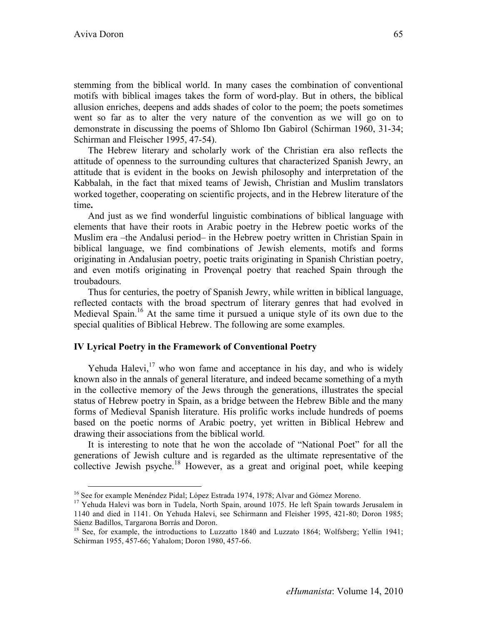stemming from the biblical world. In many cases the combination of conventional motifs with biblical images takes the form of word-play. But in others, the biblical allusion enriches, deepens and adds shades of color to the poem; the poets sometimes went so far as to alter the very nature of the convention as we will go on to demonstrate in discussing the poems of Shlomo Ibn Gabirol (Schirman 1960, 31-34; Schirman and Fleischer 1995, 47-54).

The Hebrew literary and scholarly work of the Christian era also reflects the attitude of openness to the surrounding cultures that characterized Spanish Jewry, an attitude that is evident in the books on Jewish philosophy and interpretation of the Kabbalah, in the fact that mixed teams of Jewish, Christian and Muslim translators worked together, cooperating on scientific projects, and in the Hebrew literature of the time**.**

And just as we find wonderful linguistic combinations of biblical language with elements that have their roots in Arabic poetry in the Hebrew poetic works of the Muslim era –the Andalusi period– in the Hebrew poetry written in Christian Spain in biblical language, we find combinations of Jewish elements, motifs and forms originating in Andalusian poetry, poetic traits originating in Spanish Christian poetry, and even motifs originating in Provençal poetry that reached Spain through the troubadours.

Thus for centuries, the poetry of Spanish Jewry, while written in biblical language, reflected contacts with the broad spectrum of literary genres that had evolved in Medieval Spain.<sup>16</sup> At the same time it pursued a unique style of its own due to the special qualities of Biblical Hebrew. The following are some examples.

### **IV Lyrical Poetry in the Framework of Conventional Poetry**

Yehuda Halevi, $17$  who won fame and acceptance in his day, and who is widely known also in the annals of general literature, and indeed became something of a myth in the collective memory of the Jews through the generations, illustrates the special status of Hebrew poetry in Spain, as a bridge between the Hebrew Bible and the many forms of Medieval Spanish literature. His prolific works include hundreds of poems based on the poetic norms of Arabic poetry, yet written in Biblical Hebrew and drawing their associations from the biblical world.

It is interesting to note that he won the accolade of "National Poet" for all the generations of Jewish culture and is regarded as the ultimate representative of the collective Jewish psyche.<sup>18</sup> However, as a great and original poet, while keeping

<sup>&</sup>lt;sup>16</sup> See for example Menéndez Pidal; López Estrada 1974, 1978; Alvar and Gómez Moreno.<br><sup>17</sup> Yehuda Halevi was born in Tudela, North Spain, around 1075. He left Spain towards Jerusalem in 1140 and died in 1141. On Yehuda Halevi, see Schirmann and Fleisher 1995, 421-80; Doron 1985; Sáenz Badillos, Targarona Borrás and Doron.

<sup>&</sup>lt;sup>18</sup> See, for example, the introductions to Luzzatto 1840 and Luzzato 1864; Wolfsberg; Yellin 1941; Schirman 1955, 457-66; Yahalom; Doron 1980, 457-66.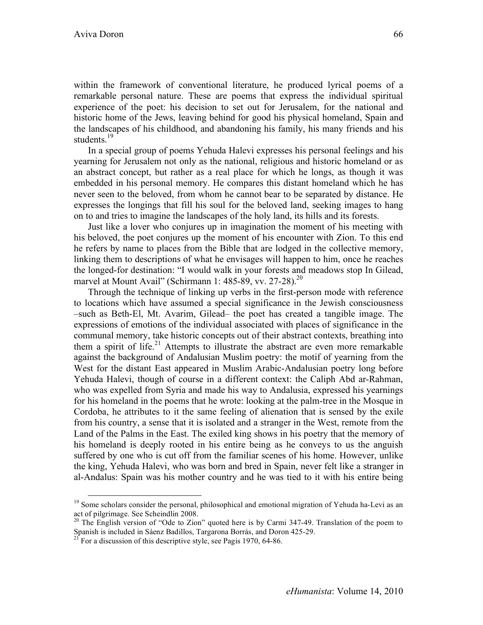within the framework of conventional literature, he produced lyrical poems of a remarkable personal nature. These are poems that express the individual spiritual experience of the poet: his decision to set out for Jerusalem, for the national and historic home of the Jews, leaving behind for good his physical homeland, Spain and the landscapes of his childhood, and abandoning his family, his many friends and his students.<sup>19</sup>

In a special group of poems Yehuda Halevi expresses his personal feelings and his yearning for Jerusalem not only as the national, religious and historic homeland or as an abstract concept, but rather as a real place for which he longs, as though it was embedded in his personal memory. He compares this distant homeland which he has never seen to the beloved, from whom he cannot bear to be separated by distance. He expresses the longings that fill his soul for the beloved land, seeking images to hang on to and tries to imagine the landscapes of the holy land, its hills and its forests.

Just like a lover who conjures up in imagination the moment of his meeting with his beloved, the poet conjures up the moment of his encounter with Zion. To this end he refers by name to places from the Bible that are lodged in the collective memory, linking them to descriptions of what he envisages will happen to him, once he reaches the longed-for destination: "I would walk in your forests and meadows stop In Gilead, marvel at Mount Avail" (Schirmann 1: 485-89, vv. 27-28).<sup>20</sup>

Through the technique of linking up verbs in the first-person mode with reference to locations which have assumed a special significance in the Jewish consciousness –such as Beth-El, Mt. Avarim, Gilead– the poet has created a tangible image. The expressions of emotions of the individual associated with places of significance in the communal memory, take historic concepts out of their abstract contexts, breathing into them a spirit of life.<sup>21</sup> Attempts to illustrate the abstract are even more remarkable against the background of Andalusian Muslim poetry: the motif of yearning from the West for the distant East appeared in Muslim Arabic-Andalusian poetry long before Yehuda Halevi, though of course in a different context: the Caliph Abd ar-Rahman, who was expelled from Syria and made his way to Andalusia, expressed his yearnings for his homeland in the poems that he wrote: looking at the palm-tree in the Mosque in Cordoba, he attributes to it the same feeling of alienation that is sensed by the exile from his country, a sense that it is isolated and a stranger in the West, remote from the Land of the Palms in the East. The exiled king shows in his poetry that the memory of his homeland is deeply rooted in his entire being as he conveys to us the anguish suffered by one who is cut off from the familiar scenes of his home. However, unlike the king, Yehuda Halevi, who was born and bred in Spain, never felt like a stranger in al-Andalus: Spain was his mother country and he was tied to it with his entire being

<sup>&</sup>lt;sup>19</sup> Some scholars consider the personal, philosophical and emotional migration of Yehuda ha-Levi as an act of pilgrimage. See Scheindlin 2008.

<sup>&</sup>lt;sup>20</sup> The English version of "Ode to Zion" quoted here is by Carmi 347-49. Translation of the poem to Spanish is included in Sáenz Badillos, Targarona Borrás, and Doron 425-29.<br><sup>21</sup> For a discussion of this descriptive style, see Pagis 1970, 64-86.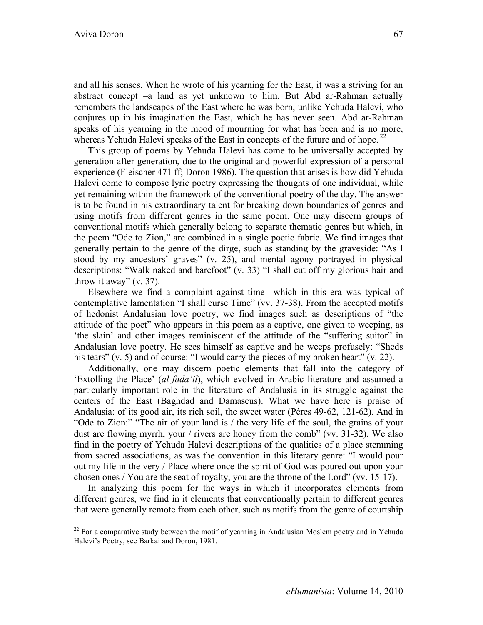and all his senses. When he wrote of his yearning for the East, it was a striving for an abstract concept –a land as yet unknown to him. But Abd ar-Rahman actually remembers the landscapes of the East where he was born, unlike Yehuda Halevi, who conjures up in his imagination the East, which he has never seen. Abd ar-Rahman speaks of his yearning in the mood of mourning for what has been and is no more, whereas Yehuda Halevi speaks of the East in concepts of the future and of hope.<sup>22</sup>

This group of poems by Yehuda Halevi has come to be universally accepted by generation after generation, due to the original and powerful expression of a personal experience (Fleischer 471 ff; Doron 1986). The question that arises is how did Yehuda Halevi come to compose lyric poetry expressing the thoughts of one individual, while yet remaining within the framework of the conventional poetry of the day. The answer is to be found in his extraordinary talent for breaking down boundaries of genres and using motifs from different genres in the same poem. One may discern groups of conventional motifs which generally belong to separate thematic genres but which, in the poem "Ode to Zion," are combined in a single poetic fabric. We find images that generally pertain to the genre of the dirge, such as standing by the graveside: "As I stood by my ancestors' graves" (v. 25), and mental agony portrayed in physical descriptions: "Walk naked and barefoot" (v. 33) "I shall cut off my glorious hair and throw it away"  $(v. 37)$ .

Elsewhere we find a complaint against time –which in this era was typical of contemplative lamentation "I shall curse Time" (vv. 37-38). From the accepted motifs of hedonist Andalusian love poetry, we find images such as descriptions of "the attitude of the poet" who appears in this poem as a captive, one given to weeping, as 'the slain' and other images reminiscent of the attitude of the "suffering suitor" in Andalusian love poetry. He sees himself as captive and he weeps profusely: "Sheds his tears" (v. 5) and of course: "I would carry the pieces of my broken heart" (v. 22).

Additionally, one may discern poetic elements that fall into the category of 'Extolling the Place' (*al-fada'il*), which evolved in Arabic literature and assumed a particularly important role in the literature of Andalusia in its struggle against the centers of the East (Baghdad and Damascus). What we have here is praise of Andalusia: of its good air, its rich soil, the sweet water (Pères 49-62, 121-62). And in "Ode to Zion:" "The air of your land is / the very life of the soul, the grains of your dust are flowing myrrh, your / rivers are honey from the comb" (vv. 31-32). We also find in the poetry of Yehuda Halevi descriptions of the qualities of a place stemming from sacred associations, as was the convention in this literary genre: "I would pour out my life in the very / Place where once the spirit of God was poured out upon your chosen ones / You are the seat of royalty, you are the throne of the Lord" (vv. 15-17).

In analyzing this poem for the ways in which it incorporates elements from different genres, we find in it elements that conventionally pertain to different genres that were generally remote from each other, such as motifs from the genre of courtship

 $22$  For a comparative study between the motif of yearning in Andalusian Moslem poetry and in Yehuda Halevi's Poetry, see Barkai and Doron, 1981.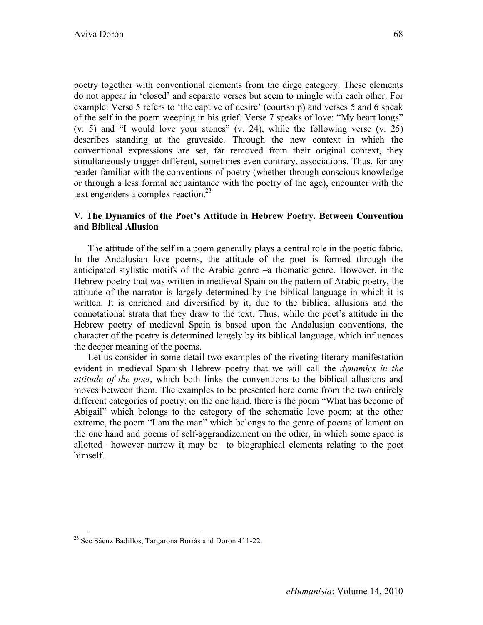poetry together with conventional elements from the dirge category. These elements do not appear in 'closed' and separate verses but seem to mingle with each other. For example: Verse 5 refers to 'the captive of desire' (courtship) and verses 5 and 6 speak of the self in the poem weeping in his grief. Verse 7 speaks of love: "My heart longs" (v. 5) and "I would love your stones" (v. 24), while the following verse (v. 25) describes standing at the graveside. Through the new context in which the conventional expressions are set, far removed from their original context, they simultaneously trigger different, sometimes even contrary, associations. Thus, for any reader familiar with the conventions of poetry (whether through conscious knowledge or through a less formal acquaintance with the poetry of the age), encounter with the text engenders a complex reaction.<sup>23</sup>

## **V. The Dynamics of the Poet's Attitude in Hebrew Poetry. Between Convention and Biblical Allusion**

The attitude of the self in a poem generally plays a central role in the poetic fabric. In the Andalusian love poems, the attitude of the poet is formed through the anticipated stylistic motifs of the Arabic genre –a thematic genre. However, in the Hebrew poetry that was written in medieval Spain on the pattern of Arabic poetry, the attitude of the narrator is largely determined by the biblical language in which it is written. It is enriched and diversified by it, due to the biblical allusions and the connotational strata that they draw to the text. Thus, while the poet's attitude in the Hebrew poetry of medieval Spain is based upon the Andalusian conventions, the character of the poetry is determined largely by its biblical language, which influences the deeper meaning of the poems.

Let us consider in some detail two examples of the riveting literary manifestation evident in medieval Spanish Hebrew poetry that we will call the *dynamics in the attitude of the poet*, which both links the conventions to the biblical allusions and moves between them. The examples to be presented here come from the two entirely different categories of poetry: on the one hand, there is the poem "What has become of Abigail" which belongs to the category of the schematic love poem; at the other extreme, the poem "I am the man" which belongs to the genre of poems of lament on the one hand and poems of self-aggrandizement on the other, in which some space is allotted –however narrow it may be– to biographical elements relating to the poet himself.

 <sup>23</sup> See Sáenz Badillos, Targarona Borrás and Doron 411-22.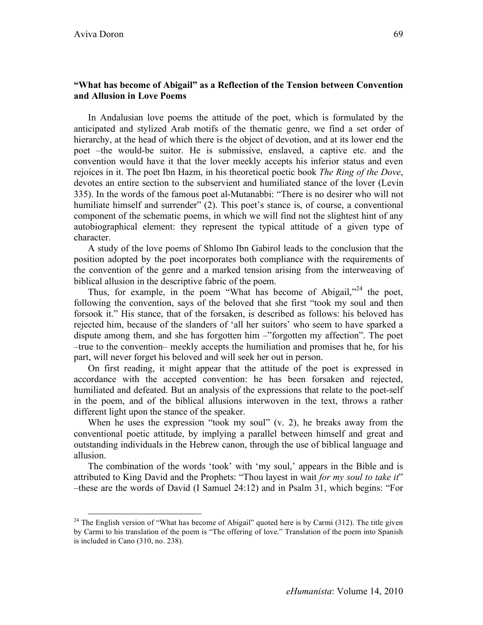In Andalusian love poems the attitude of the poet, which is formulated by the anticipated and stylized Arab motifs of the thematic genre, we find a set order of hierarchy, at the head of which there is the object of devotion, and at its lower end the poet –the would-be suitor. He is submissive, enslaved, a captive etc. and the convention would have it that the lover meekly accepts his inferior status and even rejoices in it. The poet Ibn Hazm, in his theoretical poetic book *The Ring of the Dove*, devotes an entire section to the subservient and humiliated stance of the lover (Levin 335). In the words of the famous poet al-Mutanabbi: "There is no desirer who will not humiliate himself and surrender" (2). This poet's stance is, of course, a conventional component of the schematic poems, in which we will find not the slightest hint of any autobiographical element: they represent the typical attitude of a given type of character.

A study of the love poems of Shlomo Ibn Gabirol leads to the conclusion that the position adopted by the poet incorporates both compliance with the requirements of the convention of the genre and a marked tension arising from the interweaving of biblical allusion in the descriptive fabric of the poem.

Thus, for example, in the poem "What has become of Abigail,"<sup>24</sup> the poet, following the convention, says of the beloved that she first "took my soul and then forsook it." His stance, that of the forsaken, is described as follows: his beloved has rejected him, because of the slanders of 'all her suitors' who seem to have sparked a dispute among them, and she has forgotten him –"forgotten my affection". The poet –true to the convention– meekly accepts the humiliation and promises that he, for his part, will never forget his beloved and will seek her out in person.

On first reading, it might appear that the attitude of the poet is expressed in accordance with the accepted convention: he has been forsaken and rejected, humiliated and defeated. But an analysis of the expressions that relate to the poet-self in the poem, and of the biblical allusions interwoven in the text, throws a rather different light upon the stance of the speaker.

When he uses the expression "took my soul"  $(v, 2)$ , he breaks away from the conventional poetic attitude, by implying a parallel between himself and great and outstanding individuals in the Hebrew canon, through the use of biblical language and allusion.

The combination of the words 'took' with 'my soul,' appears in the Bible and is attributed to King David and the Prophets: "Thou layest in wait *for my soul to take it*" –these are the words of David (I Samuel 24:12) and in Psalm 31, which begins: "For

<sup>&</sup>lt;sup>24</sup> The English version of "What has become of Abigail" quoted here is by Carmi (312). The title given by Carmi to his translation of the poem is "The offering of love." Translation of the poem into Spanish is included in Cano (310, no. 238).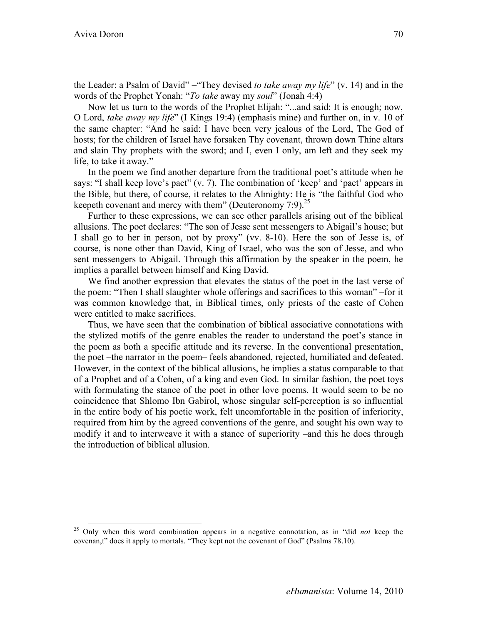the Leader: a Psalm of David" –"They devised *to take away my life*" (v. 14) and in the words of the Prophet Yonah: "*To take* away my *soul*" (Jonah 4:4)

Now let us turn to the words of the Prophet Elijah: "...and said: It is enough; now, O Lord, *take away my life*" (I Kings 19:4) (emphasis mine) and further on, in v. 10 of the same chapter: "And he said: I have been very jealous of the Lord, The God of hosts; for the children of Israel have forsaken Thy covenant, thrown down Thine altars and slain Thy prophets with the sword; and I, even I only, am left and they seek my life, to take it away."

In the poem we find another departure from the traditional poet's attitude when he says: "I shall keep love's pact" (v. 7). The combination of 'keep' and 'pact' appears in the Bible, but there, of course, it relates to the Almighty: He is "the faithful God who keepeth covenant and mercy with them" (Deuteronomy  $7:9$ ).<sup>25</sup>

Further to these expressions, we can see other parallels arising out of the biblical allusions. The poet declares: "The son of Jesse sent messengers to Abigail's house; but I shall go to her in person, not by proxy" (vv. 8-10). Here the son of Jesse is, of course, is none other than David, King of Israel, who was the son of Jesse, and who sent messengers to Abigail. Through this affirmation by the speaker in the poem, he implies a parallel between himself and King David.

We find another expression that elevates the status of the poet in the last verse of the poem: "Then I shall slaughter whole offerings and sacrifices to this woman" –for it was common knowledge that, in Biblical times, only priests of the caste of Cohen were entitled to make sacrifices.

Thus, we have seen that the combination of biblical associative connotations with the stylized motifs of the genre enables the reader to understand the poet's stance in the poem as both a specific attitude and its reverse. In the conventional presentation, the poet –the narrator in the poem– feels abandoned, rejected, humiliated and defeated. However, in the context of the biblical allusions, he implies a status comparable to that of a Prophet and of a Cohen, of a king and even God. In similar fashion, the poet toys with formulating the stance of the poet in other love poems. It would seem to be no coincidence that Shlomo Ibn Gabirol, whose singular self-perception is so influential in the entire body of his poetic work, felt uncomfortable in the position of inferiority, required from him by the agreed conventions of the genre, and sought his own way to modify it and to interweave it with a stance of superiority –and this he does through the introduction of biblical allusion.

 <sup>25</sup> Only when this word combination appears in a negative connotation, as in "did *not* keep the covenan,t" does it apply to mortals. "They kept not the covenant of God" (Psalms 78.10).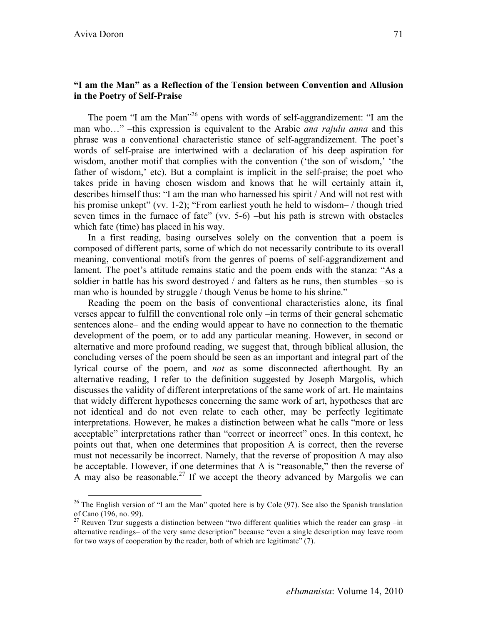# **"I am the Man" as a Reflection of the Tension between Convention and Allusion in the Poetry of Self-Praise**

The poem "I am the Man<sup>"26</sup> opens with words of self-aggrandizement: "I am the man who…" –this expression is equivalent to the Arabic *ana rajulu anna* and this phrase was a conventional characteristic stance of self-aggrandizement. The poet's words of self-praise are intertwined with a declaration of his deep aspiration for wisdom, another motif that complies with the convention ('the son of wisdom,' 'the father of wisdom,' etc). But a complaint is implicit in the self-praise; the poet who takes pride in having chosen wisdom and knows that he will certainly attain it, describes himself thus: "I am the man who harnessed his spirit / And will not rest with his promise unkept" (vv. 1-2); "From earliest youth he held to wisdom- / though tried seven times in the furnace of fate" (vv. 5-6) –but his path is strewn with obstacles which fate (time) has placed in his way.

In a first reading, basing ourselves solely on the convention that a poem is composed of different parts, some of which do not necessarily contribute to its overall meaning, conventional motifs from the genres of poems of self-aggrandizement and lament. The poet's attitude remains static and the poem ends with the stanza: "As a soldier in battle has his sword destroyed / and falters as he runs, then stumbles –so is man who is hounded by struggle / though Venus be home to his shrine."

Reading the poem on the basis of conventional characteristics alone, its final verses appear to fulfill the conventional role only –in terms of their general schematic sentences alone– and the ending would appear to have no connection to the thematic development of the poem, or to add any particular meaning. However, in second or alternative and more profound reading, we suggest that, through biblical allusion, the concluding verses of the poem should be seen as an important and integral part of the lyrical course of the poem, and *not* as some disconnected afterthought. By an alternative reading, I refer to the definition suggested by Joseph Margolis, which discusses the validity of different interpretations of the same work of art. He maintains that widely different hypotheses concerning the same work of art, hypotheses that are not identical and do not even relate to each other, may be perfectly legitimate interpretations. However, he makes a distinction between what he calls "more or less acceptable" interpretations rather than "correct or incorrect" ones. In this context, he points out that, when one determines that proposition A is correct, then the reverse must not necessarily be incorrect. Namely, that the reverse of proposition A may also be acceptable. However, if one determines that A is "reasonable," then the reverse of A may also be reasonable.<sup>27</sup> If we accept the theory advanced by Margolis we can

 $26$  The English version of "I am the Man" quoted here is by Cole (97). See also the Spanish translation of Cano (196, no. 99).

<sup>&</sup>lt;sup>27</sup> Reuven Tzur suggests a distinction between "two different qualities which the reader can grasp –in alternative readings– of the very same description" because "even a single description may leave room for two ways of cooperation by the reader, both of which are legitimate" (7).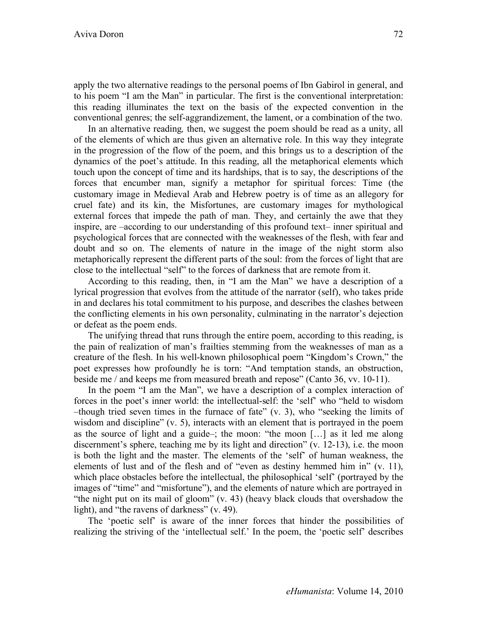apply the two alternative readings to the personal poems of Ibn Gabirol in general, and to his poem "I am the Man" in particular. The first is the conventional interpretation: this reading illuminates the text on the basis of the expected convention in the conventional genres; the self-aggrandizement, the lament, or a combination of the two.

In an alternative reading*,* then, we suggest the poem should be read as a unity, all of the elements of which are thus given an alternative role. In this way they integrate in the progression of the flow of the poem, and this brings us to a description of the dynamics of the poet's attitude. In this reading, all the metaphorical elements which touch upon the concept of time and its hardships, that is to say, the descriptions of the forces that encumber man, signify a metaphor for spiritual forces: Time (the customary image in Medieval Arab and Hebrew poetry is of time as an allegory for cruel fate) and its kin, the Misfortunes, are customary images for mythological external forces that impede the path of man. They, and certainly the awe that they inspire, are –according to our understanding of this profound text– inner spiritual and psychological forces that are connected with the weaknesses of the flesh, with fear and doubt and so on. The elements of nature in the image of the night storm also metaphorically represent the different parts of the soul: from the forces of light that are close to the intellectual "self" to the forces of darkness that are remote from it.

According to this reading, then, in "I am the Man" we have a description of a lyrical progression that evolves from the attitude of the narrator (self), who takes pride in and declares his total commitment to his purpose, and describes the clashes between the conflicting elements in his own personality, culminating in the narrator's dejection or defeat as the poem ends.

The unifying thread that runs through the entire poem, according to this reading, is the pain of realization of man's frailties stemming from the weaknesses of man as a creature of the flesh. In his well-known philosophical poem "Kingdom's Crown," the poet expresses how profoundly he is torn: "And temptation stands, an obstruction, beside me / and keeps me from measured breath and repose" (Canto 36, vv. 10-11).

In the poem "I am the Man", we have a description of a complex interaction of forces in the poet's inner world: the intellectual-self: the 'self' who "held to wisdom –though tried seven times in the furnace of fate" (v. 3), who "seeking the limits of wisdom and discipline" (v. 5), interacts with an element that is portrayed in the poem as the source of light and a guide–; the moon: "the moon […] as it led me along discernment's sphere, teaching me by its light and direction" (v. 12-13), i.e. the moon is both the light and the master. The elements of the 'self' of human weakness, the elements of lust and of the flesh and of "even as destiny hemmed him in" (v. 11), which place obstacles before the intellectual, the philosophical 'self' (portrayed by the images of "time" and "misfortune"), and the elements of nature which are portrayed in "the night put on its mail of gloom" (v. 43) (heavy black clouds that overshadow the light), and "the ravens of darkness" (v. 49).

The 'poetic self' is aware of the inner forces that hinder the possibilities of realizing the striving of the 'intellectual self.' In the poem, the 'poetic self' describes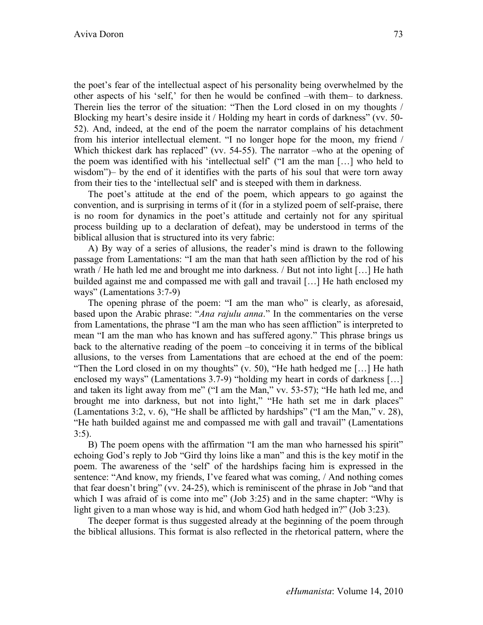the poet's fear of the intellectual aspect of his personality being overwhelmed by the other aspects of his 'self,' for then he would be confined –with them– to darkness. Therein lies the terror of the situation: "Then the Lord closed in on my thoughts / Blocking my heart's desire inside it / Holding my heart in cords of darkness" (vv. 50- 52). And, indeed, at the end of the poem the narrator complains of his detachment from his interior intellectual element. "I no longer hope for the moon, my friend / Which thickest dark has replaced" (vv. 54-55). The narrator –who at the opening of the poem was identified with his 'intellectual self' ("I am the man […] who held to wisdom")– by the end of it identifies with the parts of his soul that were torn away from their ties to the 'intellectual self' and is steeped with them in darkness.

The poet's attitude at the end of the poem, which appears to go against the convention, and is surprising in terms of it (for in a stylized poem of self-praise, there is no room for dynamics in the poet's attitude and certainly not for any spiritual process building up to a declaration of defeat), may be understood in terms of the biblical allusion that is structured into its very fabric:

A) By way of a series of allusions, the reader's mind is drawn to the following passage from Lamentations: "I am the man that hath seen affliction by the rod of his wrath / He hath led me and brought me into darkness. / But not into light […] He hath builded against me and compassed me with gall and travail […] He hath enclosed my ways" (Lamentations 3:7-9)

The opening phrase of the poem: "I am the man who" is clearly, as aforesaid, based upon the Arabic phrase: "*Ana rajulu anna*." In the commentaries on the verse from Lamentations, the phrase "I am the man who has seen affliction" is interpreted to mean "I am the man who has known and has suffered agony." This phrase brings us back to the alternative reading of the poem –to conceiving it in terms of the biblical allusions, to the verses from Lamentations that are echoed at the end of the poem: "Then the Lord closed in on my thoughts"  $(v. 50)$ , "He hath hedged me [...] He hath enclosed my ways" (Lamentations 3.7-9) "holding my heart in cords of darkness […] and taken its light away from me" ("I am the Man," vv. 53-57); "He hath led me, and brought me into darkness, but not into light," "He hath set me in dark places" (Lamentations 3:2, v. 6), "He shall be afflicted by hardships" ("I am the Man," v. 28), "He hath builded against me and compassed me with gall and travail" (Lamentations 3:5).

B) The poem opens with the affirmation "I am the man who harnessed his spirit" echoing God's reply to Job "Gird thy loins like a man" and this is the key motif in the poem. The awareness of the 'self' of the hardships facing him is expressed in the sentence: "And know, my friends, I've feared what was coming, / And nothing comes that fear doesn't bring" (vv. 24-25), which is reminiscent of the phrase in Job "and that which I was afraid of is come into me" (Job 3:25) and in the same chapter: "Why is light given to a man whose way is hid, and whom God hath hedged in?" (Job 3:23).

The deeper format is thus suggested already at the beginning of the poem through the biblical allusions. This format is also reflected in the rhetorical pattern, where the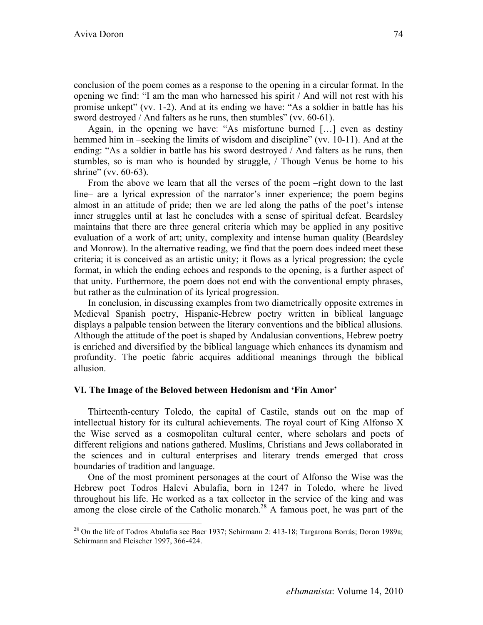conclusion of the poem comes as a response to the opening in a circular format. In the opening we find: "I am the man who harnessed his spirit / And will not rest with his promise unkept" (vv. 1-2). And at its ending we have: "As a soldier in battle has his sword destroyed / And falters as he runs, then stumbles" (vv. 60-61).

Again, in the opening we have: "As misfortune burned […] even as destiny hemmed him in –seeking the limits of wisdom and discipline" (vv. 10-11). And at the ending: "As a soldier in battle has his sword destroyed / And falters as he runs, then stumbles, so is man who is hounded by struggle, / Though Venus be home to his shrine" (vv. 60-63).

From the above we learn that all the verses of the poem –right down to the last line– are a lyrical expression of the narrator's inner experience; the poem begins almost in an attitude of pride; then we are led along the paths of the poet's intense inner struggles until at last he concludes with a sense of spiritual defeat. Beardsley maintains that there are three general criteria which may be applied in any positive evaluation of a work of art; unity, complexity and intense human quality (Beardsley and Monrow). In the alternative reading, we find that the poem does indeed meet these criteria; it is conceived as an artistic unity; it flows as a lyrical progression; the cycle format, in which the ending echoes and responds to the opening, is a further aspect of that unity. Furthermore, the poem does not end with the conventional empty phrases, but rather as the culmination of its lyrical progression.

In conclusion, in discussing examples from two diametrically opposite extremes in Medieval Spanish poetry, Hispanic-Hebrew poetry written in biblical language displays a palpable tension between the literary conventions and the biblical allusions. Although the attitude of the poet is shaped by Andalusian conventions, Hebrew poetry is enriched and diversified by the biblical language which enhances its dynamism and profundity. The poetic fabric acquires additional meanings through the biblical allusion.

# **VI. The Image of the Beloved between Hedonism and 'Fin Amor'**

Thirteenth-century Toledo, the capital of Castile, stands out on the map of intellectual history for its cultural achievements. The royal court of King Alfonso X the Wise served as a cosmopolitan cultural center, where scholars and poets of different religions and nations gathered. Muslims, Christians and Jews collaborated in the sciences and in cultural enterprises and literary trends emerged that cross boundaries of tradition and language.

One of the most prominent personages at the court of Alfonso the Wise was the Hebrew poet Todros Halevi Abulafia, born in 1247 in Toledo, where he lived throughout his life. He worked as a tax collector in the service of the king and was among the close circle of the Catholic monarch.<sup>28</sup> A famous poet, he was part of the

<sup>&</sup>lt;sup>28</sup> On the life of Todros Abulafia see Baer 1937; Schirmann 2: 413-18; Targarona Borrás; Doron 1989a; Schirmann and Fleischer 1997, 366-424.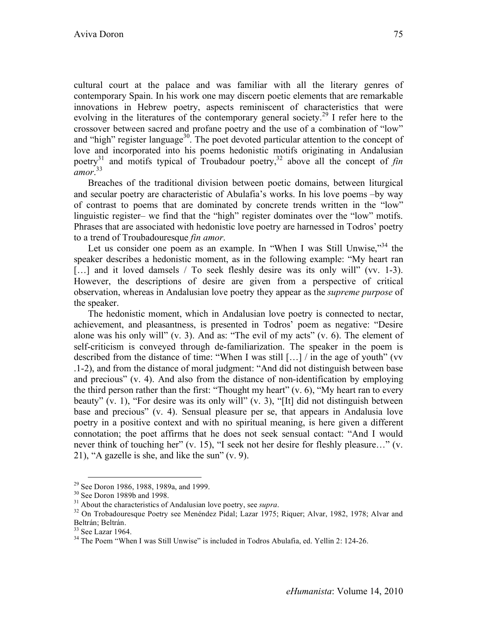cultural court at the palace and was familiar with all the literary genres of contemporary Spain. In his work one may discern poetic elements that are remarkable innovations in Hebrew poetry, aspects reminiscent of characteristics that were evolving in the literatures of the contemporary general society.<sup>29</sup> I refer here to the crossover between sacred and profane poetry and the use of a combination of "low" and "high" register language<sup>30</sup>. The poet devoted particular attention to the concept of love and incorporated into his poems hedonistic motifs originating in Andalusian poetry<sup>31</sup> and motifs typical of Troubadour poetry,<sup>32</sup> above all the concept of  $fin$ *amor*. 33

Breaches of the traditional division between poetic domains, between liturgical and secular poetry are characteristic of Abulafia's works. In his love poems –by way of contrast to poems that are dominated by concrete trends written in the "low" linguistic register– we find that the "high" register dominates over the "low" motifs. Phrases that are associated with hedonistic love poetry are harnessed in Todros' poetry to a trend of Troubadouresque *fin amor*.

Let us consider one poem as an example. In "When I was Still Unwise,"<sup>34</sup> the speaker describes a hedonistic moment, as in the following example: "My heart ran [...] and it loved damsels / To seek fleshly desire was its only will" (vv. 1-3). However, the descriptions of desire are given from a perspective of critical observation, whereas in Andalusian love poetry they appear as the *supreme purpose* of the speaker.

The hedonistic moment, which in Andalusian love poetry is connected to nectar, achievement, and pleasantness, is presented in Todros' poem as negative: "Desire alone was his only will"  $(v, 3)$ . And as: "The evil of my acts"  $(v, 6)$ . The element of self-criticism is conveyed through de-familiarization. The speaker in the poem is described from the distance of time: "When I was still […] / in the age of youth" (vv .1-2), and from the distance of moral judgment: "And did not distinguish between base and precious" (v. 4). And also from the distance of non-identification by employing the third person rather than the first: "Thought my heart" (v. 6), "My heart ran to every beauty" (v. 1), "For desire was its only will" (v. 3), "[It] did not distinguish between base and precious" (v. 4). Sensual pleasure per se, that appears in Andalusia love poetry in a positive context and with no spiritual meaning, is here given a different connotation; the poet affirms that he does not seek sensual contact: "And I would never think of touching her" (v. 15), "I seek not her desire for fleshly pleasure…" (v. 21), "A gazelle is she, and like the sun" (v. 9).

<sup>&</sup>lt;sup>29</sup> See Doron 1986, 1988, 1989a, and 1999.<br><sup>30</sup> See Doron 1989b and 1998.<br><sup>31</sup> About the characteristics of Andalusian love poetry, see *supra*.<br><sup>32</sup> On Trobadouresque Poetry see Menéndez Pidal; Lazar 1975; Riquer; Alvar Beltrán; Beltrán.<br><sup>33</sup> See Lazar 1964.

<sup>&</sup>lt;sup>34</sup> The Poem "When I was Still Unwise" is included in Todros Abulafia, ed. Yellin 2: 124-26.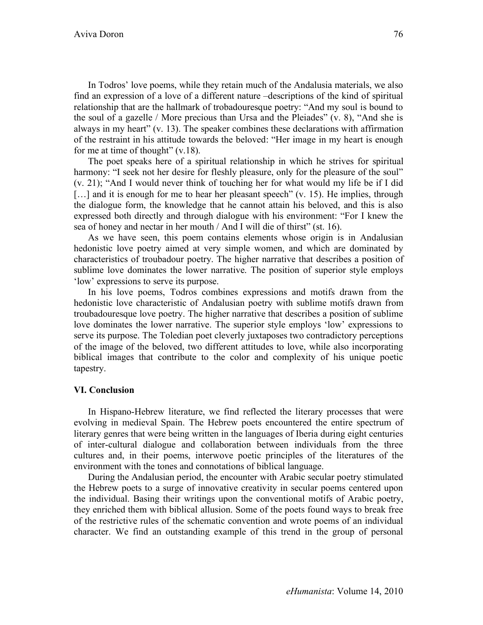In Todros' love poems, while they retain much of the Andalusia materials, we also find an expression of a love of a different nature –descriptions of the kind of spiritual relationship that are the hallmark of trobadouresque poetry: "And my soul is bound to the soul of a gazelle / More precious than Ursa and the Pleiades" (v. 8), "And she is always in my heart" (v. 13). The speaker combines these declarations with affirmation of the restraint in his attitude towards the beloved: "Her image in my heart is enough for me at time of thought" (v.18).

The poet speaks here of a spiritual relationship in which he strives for spiritual harmony: "I seek not her desire for fleshly pleasure, only for the pleasure of the soul" (v. 21); "And I would never think of touching her for what would my life be if I did [...] and it is enough for me to hear her pleasant speech" (v. 15). He implies, through the dialogue form, the knowledge that he cannot attain his beloved, and this is also expressed both directly and through dialogue with his environment: "For I knew the sea of honey and nectar in her mouth / And I will die of thirst" (st. 16).

As we have seen, this poem contains elements whose origin is in Andalusian hedonistic love poetry aimed at very simple women, and which are dominated by characteristics of troubadour poetry. The higher narrative that describes a position of sublime love dominates the lower narrative. The position of superior style employs 'low' expressions to serve its purpose.

In his love poems, Todros combines expressions and motifs drawn from the hedonistic love characteristic of Andalusian poetry with sublime motifs drawn from troubadouresque love poetry. The higher narrative that describes a position of sublime love dominates the lower narrative. The superior style employs 'low' expressions to serve its purpose. The Toledian poet cleverly juxtaposes two contradictory perceptions of the image of the beloved, two different attitudes to love, while also incorporating biblical images that contribute to the color and complexity of his unique poetic tapestry.

### **VI. Conclusion**

In Hispano-Hebrew literature, we find reflected the literary processes that were evolving in medieval Spain. The Hebrew poets encountered the entire spectrum of literary genres that were being written in the languages of Iberia during eight centuries of inter-cultural dialogue and collaboration between individuals from the three cultures and, in their poems, interwove poetic principles of the literatures of the environment with the tones and connotations of biblical language.

During the Andalusian period, the encounter with Arabic secular poetry stimulated the Hebrew poets to a surge of innovative creativity in secular poems centered upon the individual. Basing their writings upon the conventional motifs of Arabic poetry, they enriched them with biblical allusion. Some of the poets found ways to break free of the restrictive rules of the schematic convention and wrote poems of an individual character. We find an outstanding example of this trend in the group of personal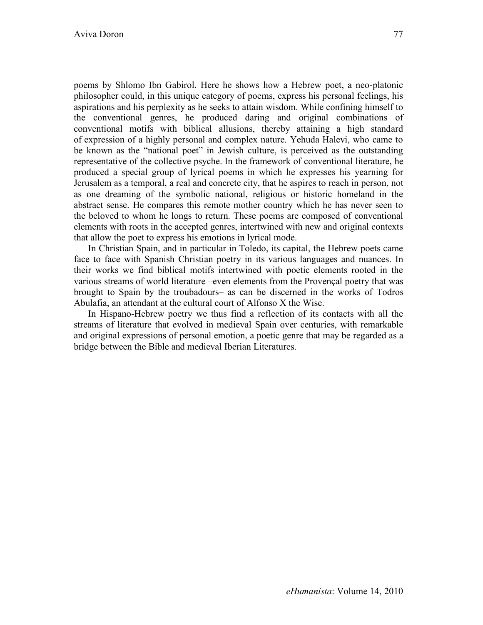poems by Shlomo Ibn Gabirol. Here he shows how a Hebrew poet, a neo-platonic philosopher could, in this unique category of poems, express his personal feelings, his aspirations and his perplexity as he seeks to attain wisdom. While confining himself to the conventional genres, he produced daring and original combinations of conventional motifs with biblical allusions, thereby attaining a high standard of expression of a highly personal and complex nature. Yehuda Halevi, who came to be known as the "national poet" in Jewish culture, is perceived as the outstanding representative of the collective psyche. In the framework of conventional literature, he produced a special group of lyrical poems in which he expresses his yearning for Jerusalem as a temporal, a real and concrete city, that he aspires to reach in person, not as one dreaming of the symbolic national, religious or historic homeland in the abstract sense. He compares this remote mother country which he has never seen to the beloved to whom he longs to return. These poems are composed of conventional elements with roots in the accepted genres, intertwined with new and original contexts that allow the poet to express his emotions in lyrical mode.

In Christian Spain, and in particular in Toledo, its capital, the Hebrew poets came face to face with Spanish Christian poetry in its various languages and nuances. In their works we find biblical motifs intertwined with poetic elements rooted in the various streams of world literature –even elements from the Provençal poetry that was brought to Spain by the troubadours– as can be discerned in the works of Todros Abulafia, an attendant at the cultural court of Alfonso X the Wise.

In Hispano-Hebrew poetry we thus find a reflection of its contacts with all the streams of literature that evolved in medieval Spain over centuries, with remarkable and original expressions of personal emotion, a poetic genre that may be regarded as a bridge between the Bible and medieval Iberian Literatures.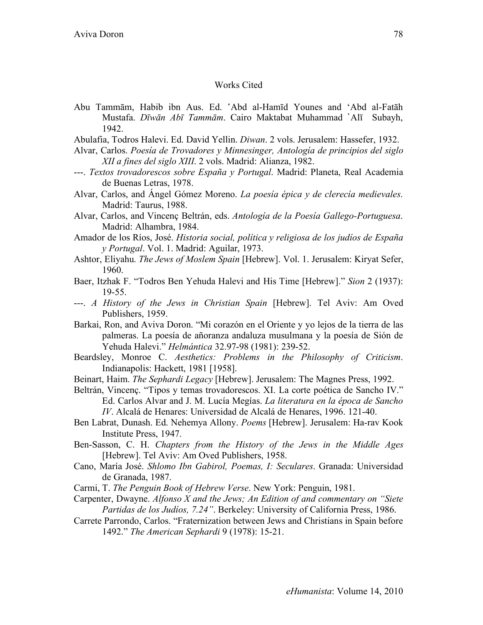### Works Cited

- Abu Tammām, Habib ibn Aus. Ed. 'Abd al-Hamīd Younes and 'Abd al-Fatāh Mustafa. *Dīwān Abī Tammām*. Cairo Maktabat Muhammad `Alī Subayh, 1942.
- Abulafia, Todros Halevi. Ed. David Yellin. *Diwan*. 2 vols. Jerusalem: Hassefer, 1932.
- Alvar, Carlos. *Poesía de Trovadores y Minnesinger, Antología de principios del siglo XII a fines del siglo XIII*. 2 vols. Madrid: Alianza, 1982.
- ---. *Textos trovadorescos sobre España y Portugal*. Madrid: Planeta, Real Academia de Buenas Letras, 1978.
- Alvar, Carlos, and Ángel Gómez Moreno. *La poesía épica y de clerecía medievales*. Madrid: Taurus, 1988.
- Alvar, Carlos, and Vincenç Beltrán, eds. *Antología de la Poesía Gallego-Portuguesa*. Madrid: Alhambra, 1984.
- Amador de los Ríos, José. *Historia social, política y religiosa de los judíos de España y Portugal*. Vol. 1. Madrid: Aguilar, 1973.
- Ashtor, Eliyahu. *The Jews of Moslem Spain* [Hebrew]. Vol. 1. Jerusalem: Kiryat Sefer, 1960.
- Baer, Itzhak F. "Todros Ben Yehuda Halevi and His Time [Hebrew]." *Sion* 2 (1937): 19-55.
- ---. *A History of the Jews in Christian Spain* [Hebrew]. Tel Aviv: Am Oved Publishers, 1959.
- Barkai, Ron, and Aviva Doron. "Mi corazón en el Oriente y yo lejos de la tierra de las palmeras. La poesía de añoranza andaluza musulmana y la poesía de Sión de Yehuda Halevi." *Helmántica* 32.97-98 (1981): 239-52.
- Beardsley, Monroe C. *Aesthetics: Problems in the Philosophy of Criticism*. Indianapolis: Hackett, 1981 [1958].
- Beinart, Haim. *The Sephardi Legacy* [Hebrew]. Jerusalem: The Magnes Press, 1992.
- Beltrán, Vincenç. "Tipos y temas trovadorescos. XI. La corte poética de Sancho IV." Ed. Carlos Alvar and J. M. Lucía Megías. *La literatura en la época de Sancho IV*. Alcalá de Henares: Universidad de Alcalá de Henares, 1996. 121-40.
- Ben Labrat, Dunash. Ed. Nehemya Allony. *Poems* [Hebrew]. Jerusalem: Ha-rav Kook Institute Press, 1947.
- Ben-Sasson, C. H. *Chapters from the History of the Jews in the Middle Ages* [Hebrew]. Tel Aviv: Am Oved Publishers, 1958.
- Cano, María José. *Shlomo Ibn Gabirol, Poemas, I: Seculares*. Granada: Universidad de Granada, 1987.
- Carmi, T. *The Penguin Book of Hebrew Verse*. New York: Penguin, 1981.
- Carpenter, Dwayne. *Alfonso X and the Jews; An Edition of and commentary on "Siete Partidas de los Judíos, 7.24"*. Berkeley: University of California Press, 1986.
- Carrete Parrondo, Carlos. "Fraternization between Jews and Christians in Spain before 1492." *The American Sephardi* 9 (1978): 15-21.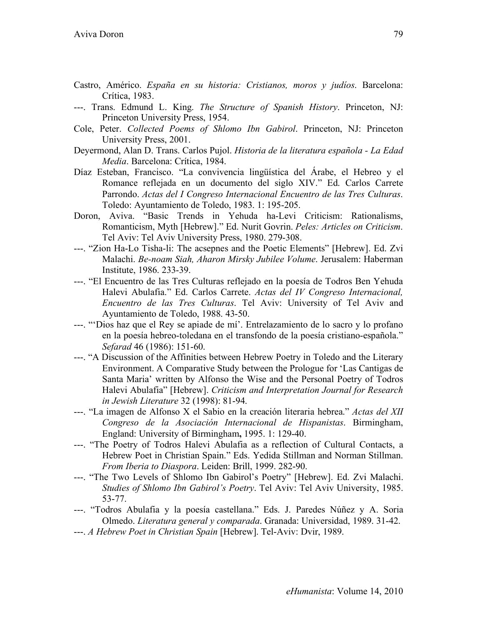- Castro, Américo. *España en su historia: Cristianos, moros y judíos*. Barcelona: Crítica, 1983.
- ---. Trans. Edmund L. King. *The Structure of Spanish History*. Princeton, NJ: Princeton University Press, 1954.
- Cole, Peter. *Collected Poems of Shlomo Ibn Gabirol*. Princeton, NJ: Princeton University Press, 2001.
- Deyermond, Alan D. Trans. Carlos Pujol. *Historia de la literatura española La Edad Media*. Barcelona: Crítica, 1984.
- Díaz Esteban, Francisco. "La convivencia lingüística del Árabe, el Hebreo y el Romance reflejada en un documento del siglo XIV." Ed. Carlos Carrete Parrondo. *Actas del I Congreso Internacional Encuentro de las Tres Culturas*. Toledo: Ayuntamiento de Toledo, 1983. 1: 195-205.
- Doron, Aviva. "Basic Trends in Yehuda ha-Levi Criticism: Rationalisms, Romanticism, Myth [Hebrew]." Ed. Nurit Govrin. *Peles: Articles on Criticism*. Tel Aviv: Tel Aviv University Press, 1980. 279-308.
- ---. "Zion Ha-Lo Tisha-li: The acsepnes and the Poetic Elements" [Hebrew]. Ed. Zvi Malachi. *Be-noam Siah, Aharon Mirsky Jubilee Volume*. Jerusalem: Haberman Institute, 1986. 233-39.
- ---. "El Encuentro de las Tres Culturas reflejado en la poesía de Todros Ben Yehuda Halevi Abulafia." Ed. Carlos Carrete. *Actas del IV Congreso Internacional, Encuentro de las Tres Culturas*. Tel Aviv: University of Tel Aviv and Ayuntamiento de Toledo, 1988. 43-50.
- ---. "'Dios haz que el Rey se apiade de mí'. Entrelazamiento de lo sacro y lo profano en la poesía hebreo-toledana en el transfondo de la poesía cristiano-española." *Sefarad* 46 (1986): 151-60.
- ---. "A Discussion of the Affinities between Hebrew Poetry in Toledo and the Literary Environment. A Comparative Study between the Prologue for 'Las Cantigas de Santa Maria' written by Alfonso the Wise and the Personal Poetry of Todros Halevi Abulafia" [Hebrew]. *Criticism and Interpretation Journal for Research in Jewish Literature* 32 (1998): 81-94.
- ---. "La imagen de Alfonso X el Sabio en la creación literaria hebrea." *Actas del XII Congreso de la Asociación Internacional de Hispanistas*. Birmingham, England: University of Birmingham**,** 1995. 1: 129-40.
- ---. "The Poetry of Todros Halevi Abulafia as a reflection of Cultural Contacts, a Hebrew Poet in Christian Spain." Eds. Yedida Stillman and Norman Stillman. *From Iberia to Diaspora*. Leiden: Brill, 1999. 282-90.
- ---. "The Two Levels of Shlomo Ibn Gabirol's Poetry" [Hebrew]. Ed. Zvi Malachi. *Studies of Shlomo Ibn Gabirol's Poetry*. Tel Aviv: Tel Aviv University, 1985. 53-77.
- ---. "Todros Abulafia y la poesía castellana." Eds. J. Paredes Núñez y A. Soria Olmedo. *Literatura general y comparada*. Granada: Universidad, 1989. 31-42.
- ---. *A Hebrew Poet in Christian Spain* [Hebrew]. Tel-Aviv: Dvir, 1989.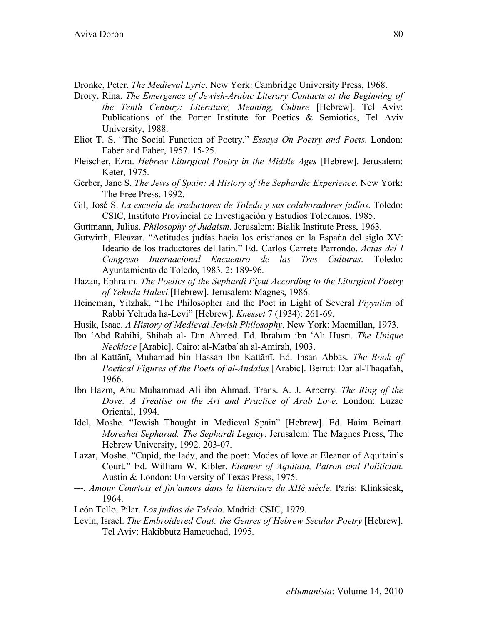Dronke, Peter. *The Medieval Lyric*. New York: Cambridge University Press, 1968.

- Drory, Rina. *The Emergence of Jewish-Arabic Literary Contacts at the Beginning of the Tenth Century: Literature, Meaning, Culture* [Hebrew]. Tel Aviv: Publications of the Porter Institute for Poetics & Semiotics, Tel Aviv University, 1988.
- Eliot T. S. "The Social Function of Poetry." *Essays On Poetry and Poets*. London: Faber and Faber, 1957. 15-25.
- Fleischer, Ezra. *Hebrew Liturgical Poetry in the Middle Ages* [Hebrew]. Jerusalem: Keter, 1975.
- Gerber, Jane S. *The Jews of Spain: A History of the Sephardic Experience*. New York: The Free Press, 1992.
- Gil, José S. *La escuela de traductores de Toledo y sus colaboradores judíos*. Toledo: CSIC, Instituto Provincial de Investigación y Estudios Toledanos, 1985.
- Guttmann, Julius. *Philosophy of Judaism*. Jerusalem: Bialik Institute Press, 1963.
- Gutwirth, Eleazar. "Actitudes judías hacia los cristianos en la España del siglo XV: Ideario de los traductores del latín." Ed. Carlos Carrete Parrondo. *Actas del I Congreso Internacional Encuentro de las Tres Culturas*. Toledo: Ayuntamiento de Toledo, 1983. 2: 189-96.
- Hazan, Ephraim. *The Poetics of the Sephardi Piyut According to the Liturgical Poetry of Yehuda Halevi* [Hebrew]. Jerusalem: Magnes, 1986.
- Heineman, Yitzhak, "The Philosopher and the Poet in Light of Several *Piyyutim* of Rabbi Yehuda ha-Levi" [Hebrew]. *Knesset* 7 (1934): 261-69.
- Husik, Isaac. *A History of Medieval Jewish Philosophy*. New York: Macmillan, 1973.
- Ibn 'Abd Rabihi, Shihāb al- Dīn Ahmed. Ed. Ibrāhīm ibn ʻAlī Husrī. *The Unique Necklace* [Arabic]. Cairo: al-Matba`ah al-Amirah, 1903.
- Ibn al-Kattānī, Muhamad bin Hassan Ibn Kattānī. Ed. Ihsan Abbas. *The Book of Poetical Figures of the Poets of al-Andalus* [Arabic]. Beirut: Dar al-Thaqafah, 1966.
- Ibn Hazm, Abu Muhammad Ali ibn Ahmad. Trans. A. J. Arberry. *The Ring of the Dove: A Treatise on the Art and Practice of Arab Love*. London: Luzac Oriental, 1994.
- Idel, Moshe. "Jewish Thought in Medieval Spain" [Hebrew]. Ed. Haim Beinart. *Moreshet Sepharad: The Sephardi Legacy*. Jerusalem: The Magnes Press, The Hebrew University, 1992. 203-07.
- Lazar, Moshe. "Cupid, the lady, and the poet: Modes of love at Eleanor of Aquitain's Court." Ed. William W. Kibler. *Eleanor of Aquitain, Patron and Politician*. Austin & London: University of Texas Press, 1975.
- ---. *Amour Courtois et fin'amors dans la literature du XIIè siècle*. Paris: Klinksiesk, 1964.
- León Tello, Pilar. *Los judíos de Toledo*. Madrid: CSIC, 1979.
- Levin, Israel. *The Embroidered Coat: the Genres of Hebrew Secular Poetry* [Hebrew]. Tel Aviv: Hakibbutz Hameuchad, 1995.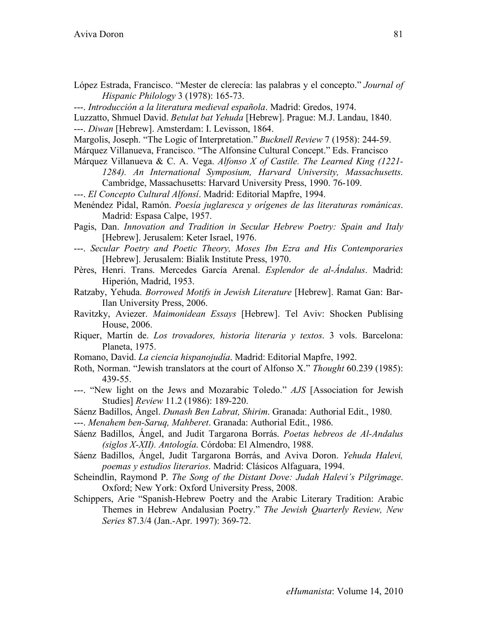- López Estrada, Francisco. "Mester de clerecía: las palabras y el concepto." *Journal of Hispanic Philology* 3 (1978): 165-73.
- ---. *Introducción a la literatura medieval española*. Madrid: Gredos, 1974.
- Luzzatto, Shmuel David. *Betulat bat Yehuda* [Hebrew]. Prague: M.J. Landau, 1840. ---. *Diwan* [Hebrew]. Amsterdam: I. Levisson, 1864.
- Margolis, Joseph. "The Logic of Interpretation." *Bucknell Review* 7 (1958): 244-59.
- Márquez Villanueva, Francisco. "The Alfonsine Cultural Concept." Eds. Francisco
- Márquez Villanueva & C. A. Vega. *Alfonso X of Castile. The Learned King (1221- 1284). An International Symposium, Harvard University, Massachusetts*. Cambridge, Massachusetts: Harvard University Press, 1990. 76-109.
- ---. *El Concepto Cultural Alfonsí*. Madrid: Editorial Mapfre, 1994.
- Menéndez Pidal, Ramón. *Poesía juglaresca y orígenes de las literaturas románicas*. Madrid: Espasa Calpe, 1957.
- Pagis, Dan. *Innovation and Tradition in Secular Hebrew Poetry: Spain and Italy* [Hebrew]. Jerusalem: Keter Israel, 1976.
- ---. *Secular Poetry and Poetic Theory, Moses Ibn Ezra and His Contemporaries* [Hebrew]. Jerusalem: Bialik Institute Press, 1970.
- Pères, Henri. Trans. Mercedes García Arenal. *Esplendor de al-Ándalus*. Madrid: Hiperión, Madrid, 1953.
- Ratzaby, Yehuda. *Borrowed Motifs in Jewish Literature* [Hebrew]. Ramat Gan: Bar-Ilan University Press, 2006.
- Ravitzky, Aviezer. *Maimonidean Essays* [Hebrew]. Tel Aviv: Shocken Publising House, 2006.
- Riquer, Martín de. *Los trovadores, historia literaria y textos*. 3 vols. Barcelona: Planeta, 1975.
- Romano, David. *La ciencia hispanojudía*. Madrid: Editorial Mapfre, 1992.
- Roth, Norman. "Jewish translators at the court of Alfonso X." *Thought* 60.239 (1985): 439-55.
- ---. "New light on the Jews and Mozarabic Toledo." *AJS* [Association for Jewish Studies] *Review* 11.2 (1986): 189-220.
- Sáenz Badillos, Ángel. *Dunash Ben Labrat, Shirim*. Granada: Authorial Edit., 1980.
- ---. *Menahem ben-Saruq, Mahberet*. Granada: Authorial Edit., 1986.
- Sáenz Badillos, Ángel, and Judit Targarona Borrás. *Poetas hebreos de Al-Andalus (siglos X-XII). Antología*. Córdoba: El Almendro, 1988.
- Sáenz Badillos, Ángel, Judit Targarona Borrás, and Aviva Doron. *Yehuda Halevi, poemas y estudios literarios*. Madrid: Clásicos Alfaguara, 1994.
- Scheindlin, Raymond P. *The Song of the Distant Dove: Judah Halevi's Pilgrimage*. Oxford; New York: Oxford University Press, 2008.
- Schippers, Arie "Spanish-Hebrew Poetry and the Arabic Literary Tradition: Arabic Themes in Hebrew Andalusian Poetry." *The Jewish Quarterly Review, New Series* 87.3/4 (Jan.-Apr. 1997): 369-72.